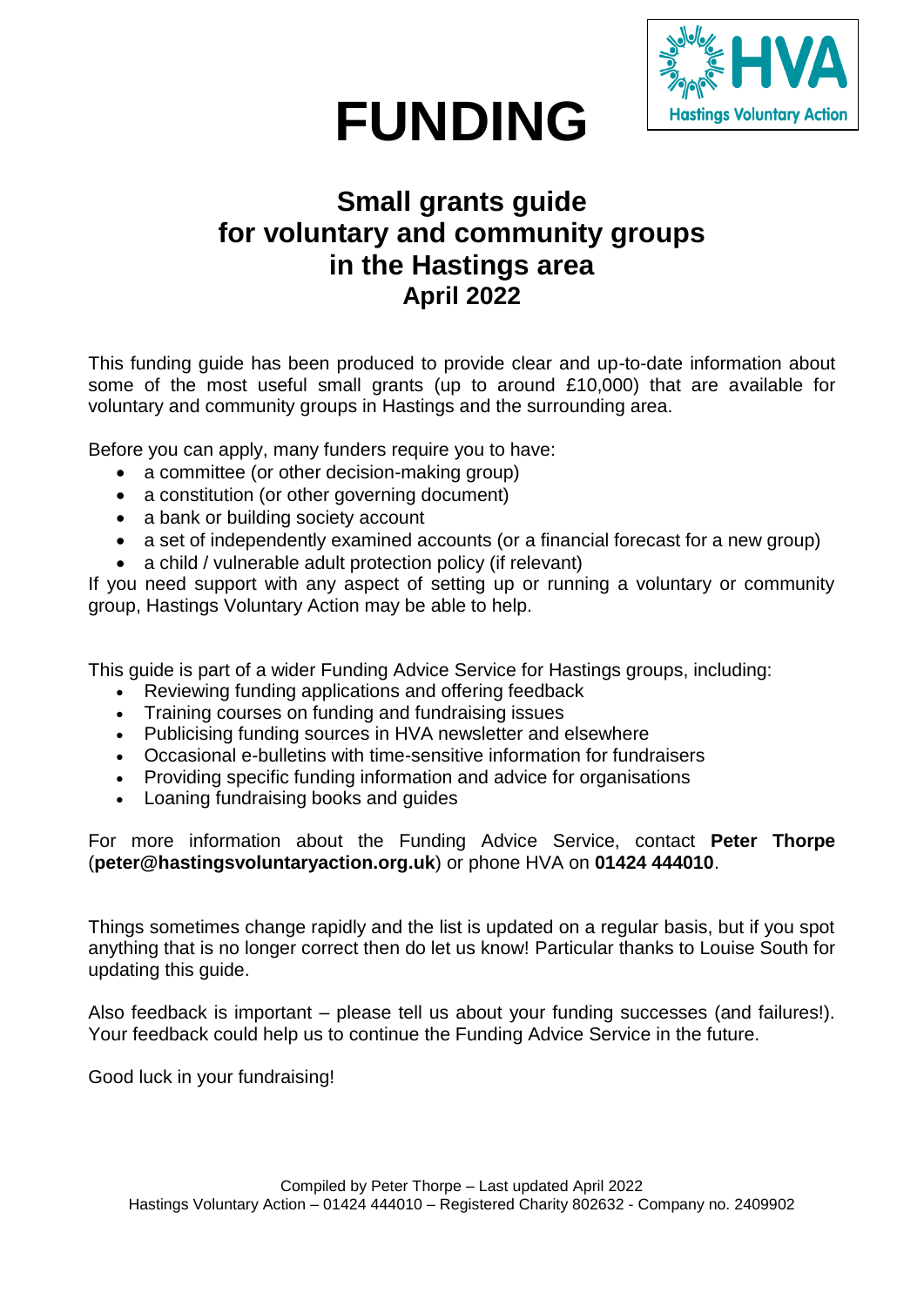

# **FUNDING**

## **Small grants guide for voluntary and community groups in the Hastings area April 2022**

This funding guide has been produced to provide clear and up-to-date information about some of the most useful small grants (up to around £10,000) that are available for voluntary and community groups in Hastings and the surrounding area.

Before you can apply, many funders require you to have:

- a committee (or other decision-making group)
- a constitution (or other governing document)
- a bank or building society account
- a set of independently examined accounts (or a financial forecast for a new group)
- a child / vulnerable adult protection policy (if relevant)

If you need support with any aspect of setting up or running a voluntary or community group, Hastings Voluntary Action may be able to help.

This guide is part of a wider Funding Advice Service for Hastings groups, including:

- Reviewing funding applications and offering feedback
- Training courses on funding and fundraising issues
- Publicising funding sources in HVA newsletter and elsewhere
- Occasional e-bulletins with time-sensitive information for fundraisers
- Providing specific funding information and advice for organisations
- Loaning fundraising books and guides

For more information about the Funding Advice Service, contact **Peter Thorpe** (**peter@hastingsvoluntaryaction.org.uk**) or phone HVA on **01424 444010**.

Things sometimes change rapidly and the list is updated on a regular basis, but if you spot anything that is no longer correct then do let us know! Particular thanks to Louise South for updating this guide.

Also feedback is important – please tell us about your funding successes (and failures!). Your feedback could help us to continue the Funding Advice Service in the future.

Good luck in your fundraising!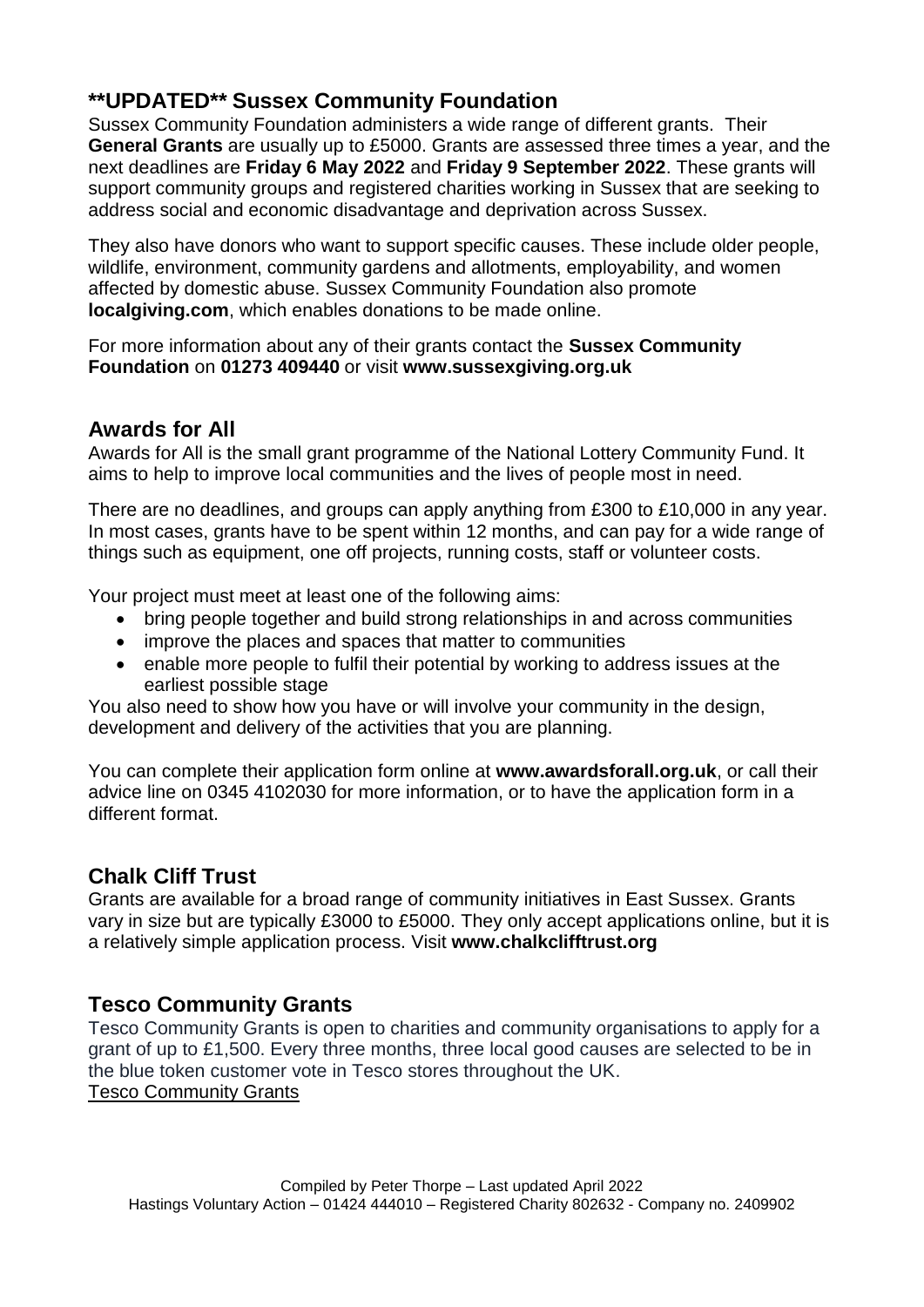## **\*\*UPDATED\*\* Sussex Community Foundation**

Sussex Community Foundation administers a wide range of different grants. Their **General Grants** are usually up to £5000. Grants are assessed three times a year, and the next deadlines are **Friday 6 May 2022** and **Friday 9 September 2022**. These grants will support community groups and registered charities working in Sussex that are seeking to address social and economic disadvantage and deprivation across Sussex.

They also have donors who want to support specific causes. These include older people, wildlife, environment, community gardens and allotments, employability, and women affected by domestic abuse. Sussex Community Foundation also promote **localgiving.com**, which enables donations to be made online.

For more information about any of their grants contact the **Sussex Community Foundation** on **01273 409440** or visit **www.sussexgiving.org.uk**

## **Awards for All**

Awards for All is the small grant programme of the National Lottery Community Fund. It aims to help to improve local communities and the lives of people most in need.

There are no deadlines, and groups can apply anything from £300 to £10,000 in any year. In most cases, grants have to be spent within 12 months, and can pay for a wide range of things such as equipment, one off projects, running costs, staff or volunteer costs.

Your project must meet at least one of the following aims:

- bring people together and build strong relationships in and across communities
- improve the places and spaces that matter to communities
- enable more people to fulfil their potential by working to address issues at the earliest possible stage

You also need to show how you have or will involve your community in the design, development and delivery of the activities that you are planning.

You can complete their application form online at **www.awardsforall.org.uk**, or call their advice line on 0345 4102030 for more information, or to have the application form in a different format.

## **Chalk Cliff Trust**

Grants are available for a broad range of community initiatives in East Sussex. Grants vary in size but are typically £3000 to £5000. They only accept applications online, but it is a relatively simple application process. Visit **www.chalkclifftrust.org**

## **Tesco Community Grants**

Tesco Community Grants is open to charities and community organisations to apply for a grant of up to £1,500. Every three months, three local good causes are selected to be in the blue token customer vote in Tesco stores throughout the UK. [Tesco Community Grants](https://tescocommunitygrants.org.uk/)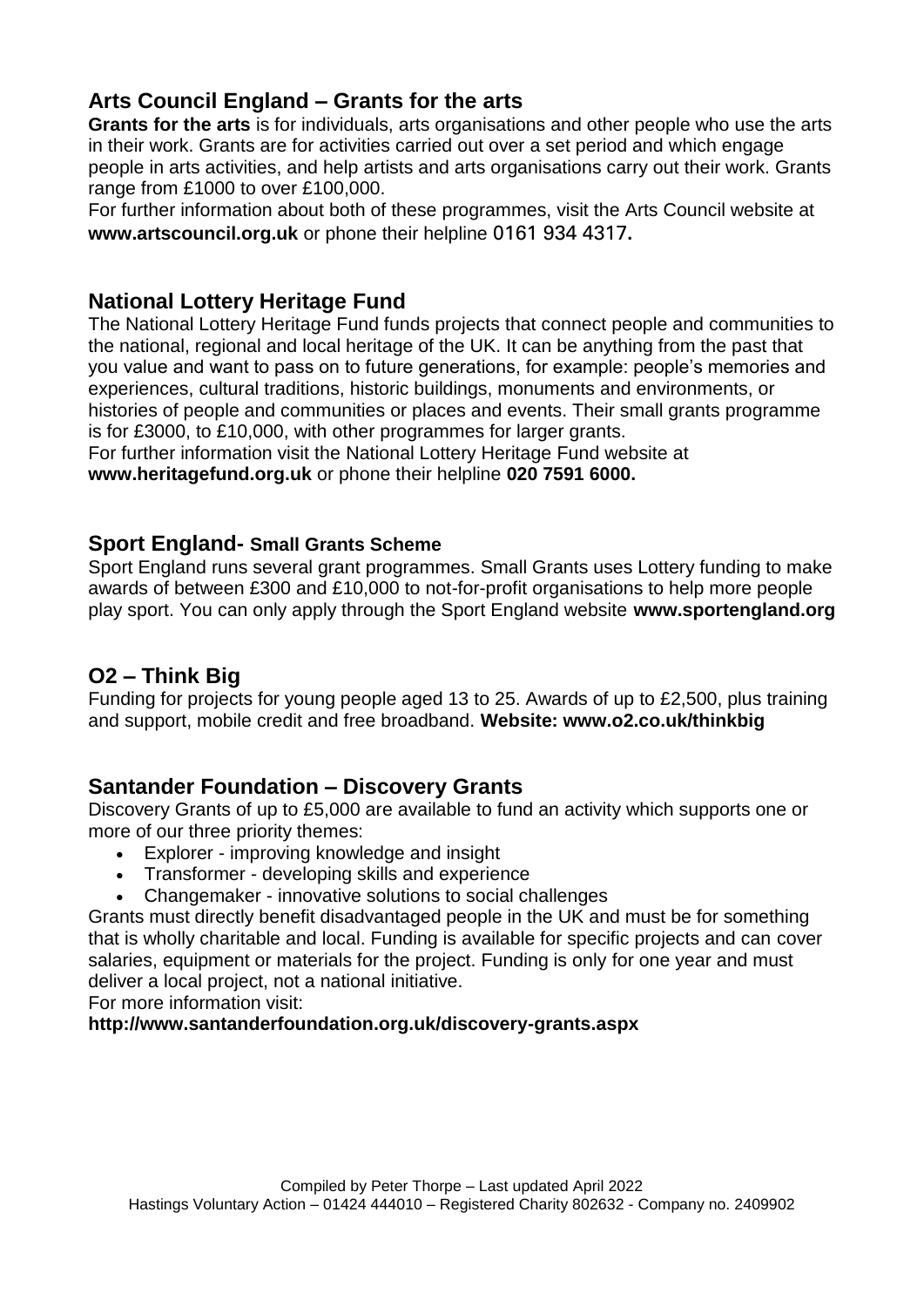## **Arts Council England – Grants for the arts**

**Grants for the arts** is for individuals, arts organisations and other people who use the arts in their work. Grants are for activities carried out over a set period and which engage people in arts activities, and help artists and arts organisations carry out their work. Grants range from £1000 to over £100,000.

For further information about both of these programmes, visit the Arts Council website at **www.artscouncil.org.uk** or phone their helpline 0161 934 4317**.**

## **National Lottery Heritage Fund**

The National Lottery Heritage Fund funds projects that connect people and communities to the national, regional and local heritage of the UK. It can be anything from the past that you value and want to pass on to future generations, for example: people's memories and experiences, cultural traditions, historic buildings, monuments and environments, or histories of people and communities or places and events. Their small grants programme is for £3000, to £10,000, with other programmes for larger grants.

For further information visit the National Lottery Heritage Fund website at **www.heritagefund.org.uk** or phone their helpline **020 7591 6000.**

#### **Sport England- Small Grants Scheme**

Sport England runs several grant programmes. Small Grants uses Lottery funding to make awards of between £300 and £10,000 to not-for-profit organisations to help more people play sport. You can only apply through the Sport England website **www.sportengland.org**

## **O2 – Think Big**

Funding for projects for young people aged 13 to 25. Awards of up to £2,500, plus training and support, mobile credit and free broadband. **Website: www.o2.co.uk/thinkbig**

### **Santander Foundation – Discovery Grants**

Discovery Grants of up to £5,000 are available to fund an activity which supports one or more of our three priority themes:

- Explorer improving knowledge and insight
- Transformer developing skills and experience
- Changemaker innovative solutions to social challenges

Grants must directly benefit disadvantaged people in the UK and must be for something that is wholly charitable and local. Funding is available for specific projects and can cover salaries, equipment or materials for the project. Funding is only for one year and must deliver a local project, not a national initiative.

For more information visit:

#### **http://www.santanderfoundation.org.uk/discovery-grants.aspx**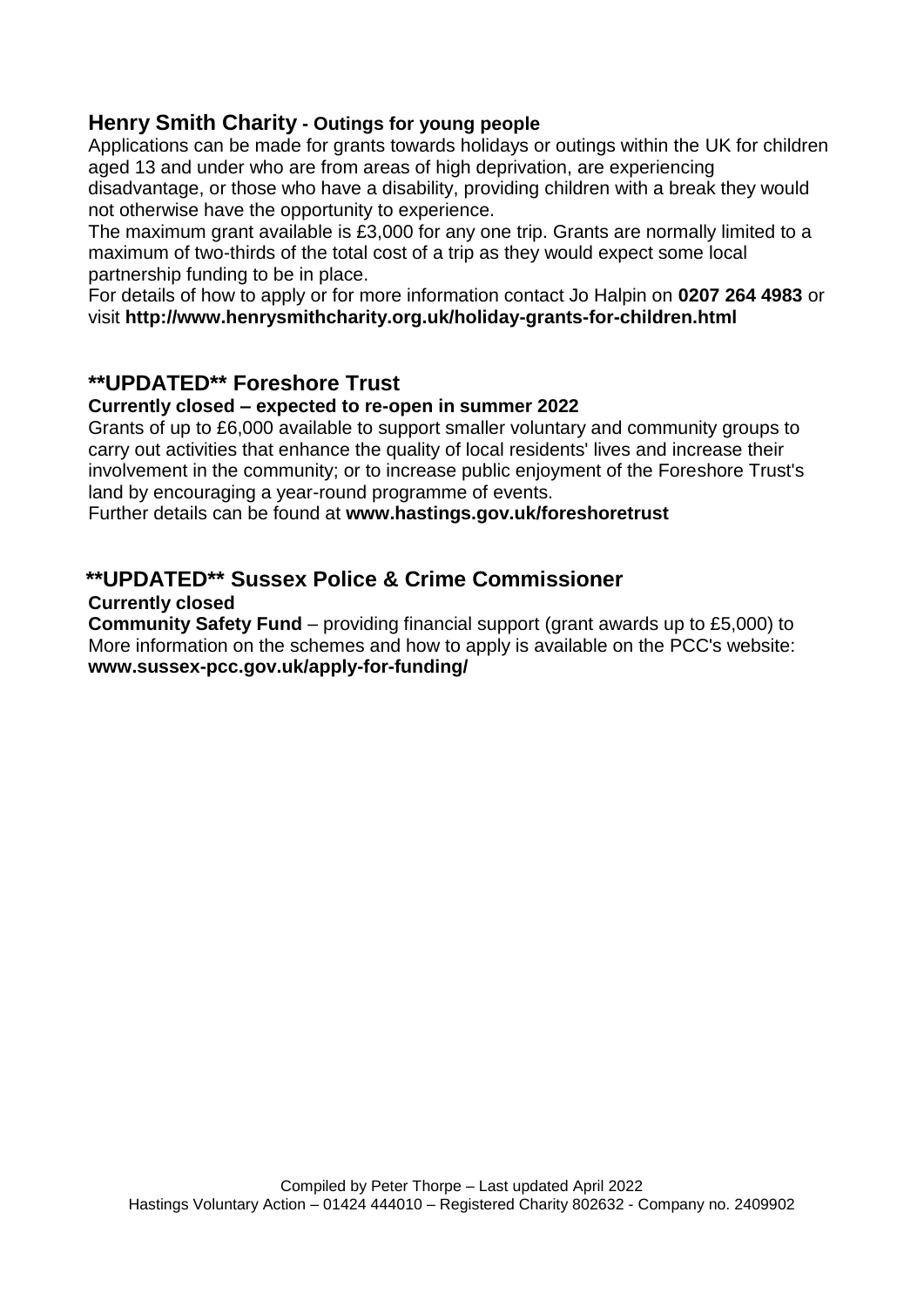## **Henry Smith Charity - Outings for young people**

Applications can be made for grants towards holidays or outings within the UK for children aged 13 and under who are from areas of high deprivation, are experiencing disadvantage, or those who have a disability, providing children with a break they would not otherwise have the opportunity to experience.

The maximum grant available is £3,000 for any one trip. Grants are normally limited to a maximum of two-thirds of the total cost of a trip as they would expect some local partnership funding to be in place.

For details of how to apply or for more information contact Jo Halpin on **0207 264 4983** or visit **<http://www.henrysmithcharity.org.uk/holiday-grants-for-children.html>**

## **\*\*UPDATED\*\* Foreshore Trust**

#### **Currently closed – expected to re-open in summer 2022**

Grants of up to £6,000 available to support smaller voluntary and community groups to carry out activities that enhance the quality of local residents' lives and increase their involvement in the community; or to increase public enjoyment of the Foreshore Trust's land by encouraging a year-round programme of events.

Further details can be found at **www.hastings.gov.uk/foreshoretrust**

## **\*\*UPDATED\*\* Sussex Police & Crime Commissioner**

#### **Currently closed**

**Community Safety Fund** – providing financial support (grant awards up to £5,000) to More information on the schemes and how to apply is available on the PCC's website: **www.sussex-pcc.gov.uk/apply-for-funding/**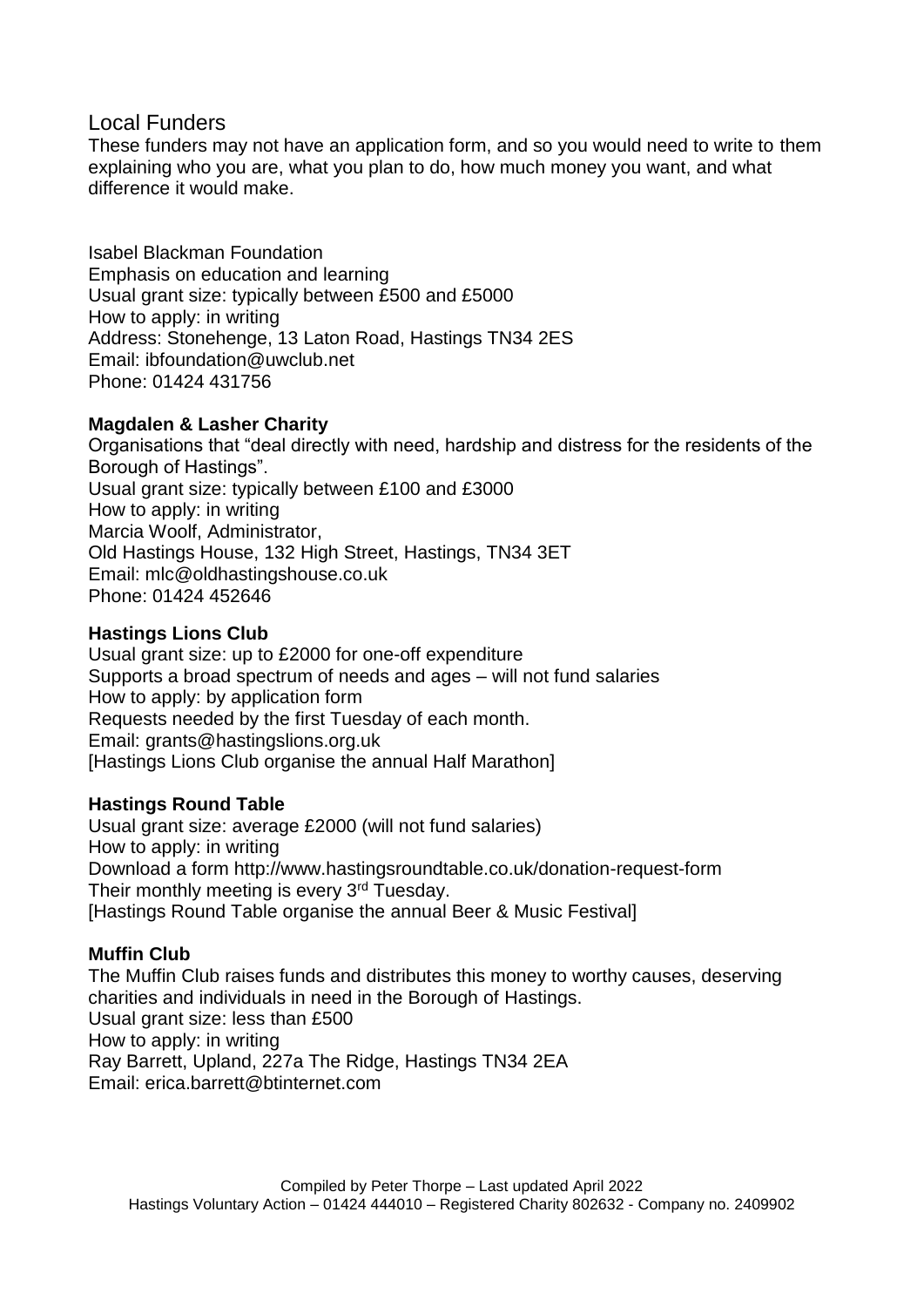#### Local Funders

These funders may not have an application form, and so you would need to write to them explaining who you are, what you plan to do, how much money you want, and what difference it would make.

Isabel Blackman Foundation Emphasis on education and learning Usual grant size: typically between £500 and £5000 How to apply: in writing Address: Stonehenge, 13 Laton Road, Hastings TN34 2ES Email: ibfoundation@uwclub.net Phone: 01424 431756

#### **Magdalen & Lasher Charity**

Organisations that "deal directly with need, hardship and distress for the residents of the Borough of Hastings". Usual grant size: typically between £100 and £3000 How to apply: in writing Marcia Woolf, Administrator, Old Hastings House, 132 High Street, Hastings, TN34 3ET Email: mlc@oldhastingshouse.co.uk Phone: 01424 452646

#### **Hastings Lions Club**

Usual grant size: up to £2000 for one-off expenditure Supports a broad spectrum of needs and ages – will not fund salaries How to apply: by application form Requests needed by the first Tuesday of each month. Email: [grants@hastingslions.org.uk](mailto:grants@hastingslions.org.uk) [Hastings Lions Club organise the annual Half Marathon]

#### **Hastings Round Table**

Usual grant size: average £2000 (will not fund salaries) How to apply: in writing Download a form http://www.hastingsroundtable.co.uk/donation-request-form Their monthly meeting is every 3<sup>rd</sup> Tuesday. [Hastings Round Table organise the annual Beer & Music Festival]

#### **Muffin Club**

The Muffin Club raises funds and distributes this money to worthy causes, deserving charities and individuals in need in the Borough of Hastings. Usual grant size: less than £500 How to apply: in writing Ray Barrett, Upland, 227a The Ridge, Hastings TN34 2EA Email: erica.barrett@btinternet.com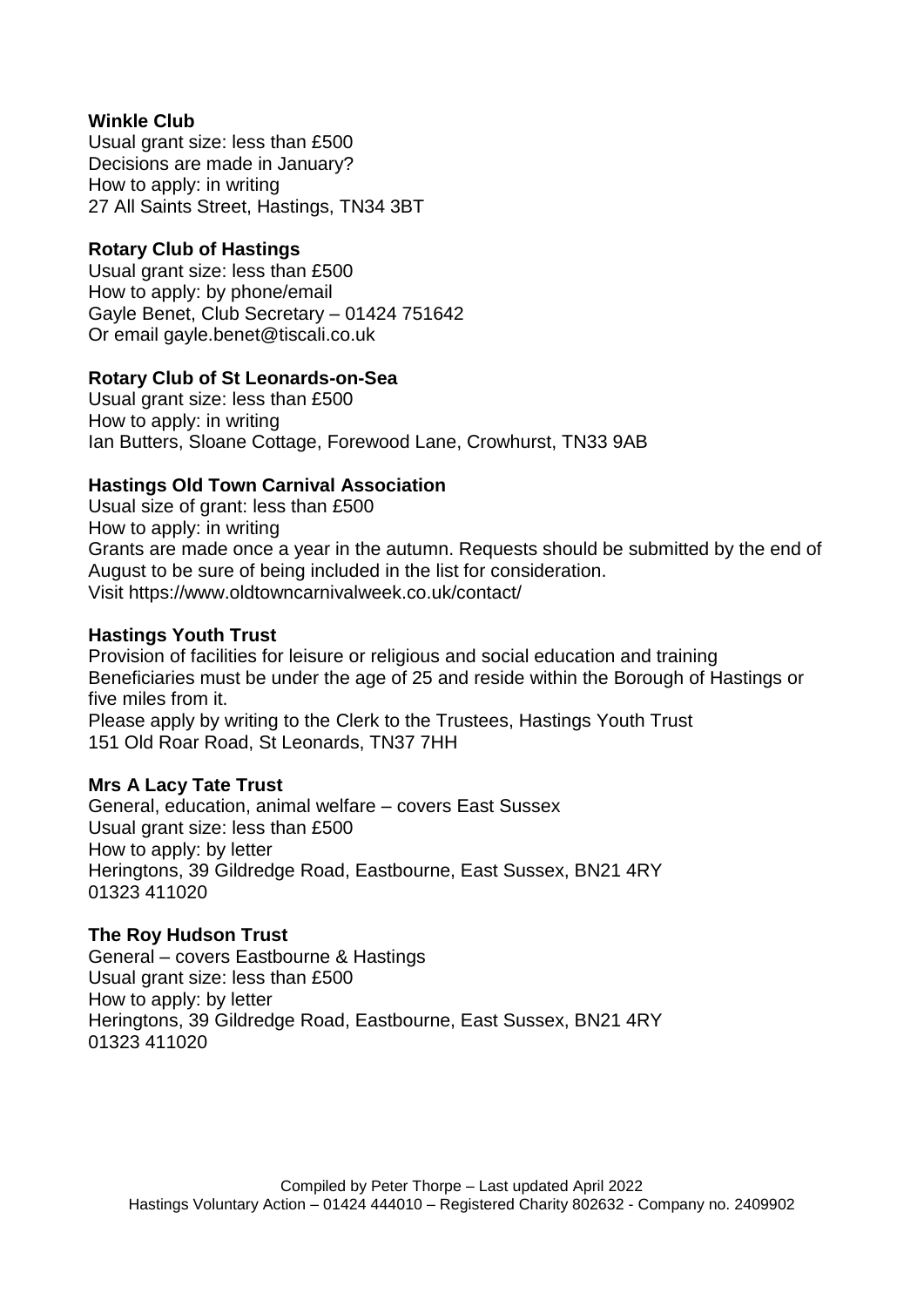#### **Winkle Club**

Usual grant size: less than £500 Decisions are made in January? How to apply: in writing 27 All Saints Street, Hastings, TN34 3BT

#### **Rotary Club of Hastings**

Usual grant size: less than £500 How to apply: by phone/email Gayle Benet, Club Secretary – 01424 751642 Or email gayle.benet@tiscali.co.uk

#### **Rotary Club of St Leonards-on-Sea**

Usual grant size: less than £500 How to apply: in writing Ian Butters, Sloane Cottage, Forewood Lane, Crowhurst, TN33 9AB

#### **Hastings Old Town Carnival Association**

Usual size of grant: less than £500 How to apply: in writing Grants are made once a year in the autumn. Requests should be submitted by the end of August to be sure of being included in the list for consideration. Visit https://www.oldtowncarnivalweek.co.uk/contact/

#### **Hastings Youth Trust**

Provision of facilities for leisure or religious and social education and training Beneficiaries must be under the age of 25 and reside within the Borough of Hastings or five miles from it.

Please apply by writing to the Clerk to the Trustees, Hastings Youth Trust 151 Old Roar Road, St Leonards, TN37 7HH

#### **Mrs A Lacy Tate Trust**

General, education, animal welfare – covers East Sussex Usual grant size: less than £500 How to apply: by letter Heringtons, 39 Gildredge Road, Eastbourne, East Sussex, BN21 4RY 01323 411020

#### **The Roy Hudson Trust**

General – covers Eastbourne & Hastings Usual grant size: less than £500 How to apply: by letter Heringtons, 39 Gildredge Road, Eastbourne, East Sussex, BN21 4RY 01323 411020